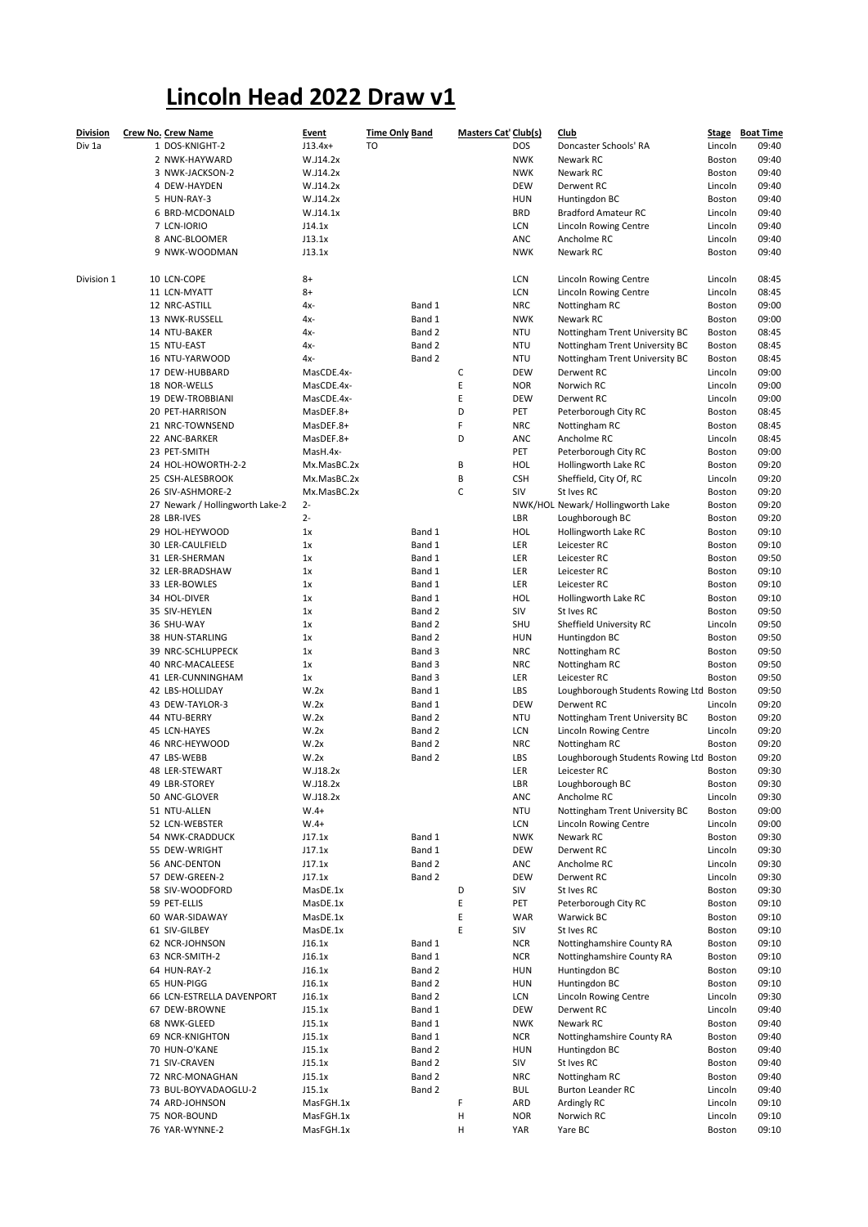## Lincoln Head 2022 Draw v1

| <b>Division</b> | <b>Crew No. Crew Name</b>        | <b>Event</b>           | <b>Time Only Band</b> | <b>Masters Cat' Club(s)</b> |                          | <u>Club</u>                                             |                   | Stage Boat Time |
|-----------------|----------------------------------|------------------------|-----------------------|-----------------------------|--------------------------|---------------------------------------------------------|-------------------|-----------------|
| Div 1a          | 1 DOS-KNIGHT-2                   | $J13.4x+$              | TO                    |                             | <b>DOS</b>               | Doncaster Schools' RA                                   | Lincoln           | 09:40           |
|                 | 2 NWK-HAYWARD                    | W.J14.2x               |                       |                             | <b>NWK</b>               | Newark RC                                               | Boston            | 09:40           |
|                 | 3 NWK-JACKSON-2                  | W.J14.2x               |                       |                             | <b>NWK</b>               | Newark RC                                               | Boston            | 09:40           |
|                 | 4 DEW-HAYDEN                     | W.J14.2x               |                       |                             | <b>DEW</b>               | Derwent RC                                              | Lincoln           | 09:40           |
|                 | 5 HUN-RAY-3                      | W.J14.2x               |                       |                             | <b>HUN</b><br><b>BRD</b> | Huntingdon BC                                           | Boston            | 09:40           |
|                 | 6 BRD-MCDONALD                   | W.J14.1x               |                       |                             |                          | <b>Bradford Amateur RC</b>                              | Lincoln           | 09:40<br>09:40  |
|                 | 7 LCN-IORIO                      | J14.1x                 |                       |                             | LCN<br>ANC               | Lincoln Rowing Centre                                   | Lincoln           | 09:40           |
|                 | 8 ANC-BLOOMER<br>9 NWK-WOODMAN   | J13.1x<br>J13.1x       |                       |                             | <b>NWK</b>               | Ancholme RC<br>Newark RC                                | Lincoln<br>Boston | 09:40           |
|                 |                                  |                        |                       |                             |                          |                                                         |                   |                 |
| Division 1      | 10 LCN-COPE                      | $8+$                   |                       |                             | LCN                      | Lincoln Rowing Centre                                   | Lincoln           | 08:45           |
|                 | 11 LCN-MYATT                     | 8+                     |                       |                             | LCN                      | Lincoln Rowing Centre                                   | Lincoln           | 08:45           |
|                 | 12 NRC-ASTILL                    | 4х-                    | Band 1                |                             | <b>NRC</b>               | Nottingham RC                                           | Boston            | 09:00           |
|                 | 13 NWK-RUSSELL                   | 4x-                    | Band 1                |                             | <b>NWK</b>               | Newark RC                                               | Boston            | 09:00           |
|                 | 14 NTU-BAKER                     | 4х-                    | Band 2                |                             | <b>NTU</b>               | Nottingham Trent University BC                          | Boston            | 08:45           |
|                 | 15 NTU-EAST                      | 4x-                    | Band 2                |                             | <b>NTU</b>               | Nottingham Trent University BC                          | Boston            | 08:45           |
|                 | 16 NTU-YARWOOD                   | 4x-                    | Band 2                |                             | <b>NTU</b>               | Nottingham Trent University BC                          | Boston            | 08:45           |
|                 | 17 DEW-HUBBARD                   | MasCDE.4x-             |                       | С                           | <b>DEW</b>               | Derwent RC                                              | Lincoln           | 09:00           |
|                 | 18 NOR-WELLS                     | MasCDE.4x-             |                       | E                           | <b>NOR</b>               | Norwich RC                                              | Lincoln           | 09:00           |
|                 | 19 DEW-TROBBIANI                 | MasCDE.4x-             |                       | E                           | <b>DEW</b>               | Derwent RC                                              | Lincoln           | 09:00           |
|                 | 20 PET-HARRISON                  | MasDEF.8+              |                       | D                           | PET                      | Peterborough City RC                                    | Boston            | 08:45           |
|                 | 21 NRC-TOWNSEND<br>22 ANC-BARKER | MasDEF.8+<br>MasDEF.8+ |                       | F<br>D                      | <b>NRC</b><br>ANC        | Nottingham RC<br>Ancholme RC                            | Boston            | 08:45<br>08:45  |
|                 | 23 PET-SMITH                     | MasH.4x-               |                       |                             | PET                      | Peterborough City RC                                    | Lincoln<br>Boston | 09:00           |
|                 | 24 HOL-HOWORTH-2-2               | Mx.MasBC.2x            |                       | B                           | HOL                      | Hollingworth Lake RC                                    | Boston            | 09:20           |
|                 | 25 CSH-ALESBROOK                 | Mx.MasBC.2x            |                       | В                           | <b>CSH</b>               | Sheffield, City Of, RC                                  | Lincoln           | 09:20           |
|                 | 26 SIV-ASHMORE-2                 | Mx.MasBC.2x            |                       | C                           | SIV                      | St Ives RC                                              | Boston            | 09:20           |
|                 | 27 Newark / Hollingworth Lake-2  | $2 -$                  |                       |                             |                          | NWK/HOL Newark/ Hollingworth Lake                       | Boston            | 09:20           |
|                 | 28 LBR-IVES                      | $2 -$                  |                       |                             | LBR                      | Loughborough BC                                         | Boston            | 09:20           |
|                 | 29 HOL-HEYWOOD                   | 1x                     | Band 1                |                             | <b>HOL</b>               | Hollingworth Lake RC                                    | Boston            | 09:10           |
|                 | 30 LER-CAULFIELD                 | 1x                     | Band 1                |                             | LER                      | Leicester RC                                            | Boston            | 09:10           |
|                 | 31 LER-SHERMAN                   | 1x                     | Band 1                |                             | LER                      | Leicester RC                                            | Boston            | 09:50           |
|                 | 32 LER-BRADSHAW                  | 1x                     | Band 1                |                             | LER                      | Leicester RC                                            | Boston            | 09:10           |
|                 | 33 LER-BOWLES                    | 1x                     | Band 1                |                             | LER                      | Leicester RC                                            | Boston            | 09:10           |
|                 | 34 HOL-DIVER                     | 1x                     | Band 1                |                             | <b>HOL</b>               | Hollingworth Lake RC                                    | Boston            | 09:10           |
|                 | 35 SIV-HEYLEN                    | 1x                     | Band 2                |                             | SIV                      | St Ives RC                                              | Boston            | 09:50           |
|                 | 36 SHU-WAY                       | 1x                     | Band 2                |                             | SHU                      | Sheffield University RC                                 | Lincoln           | 09:50           |
|                 | 38 HUN-STARLING                  | 1x                     | Band 2                |                             | <b>HUN</b>               | Huntingdon BC                                           | Boston            | 09:50           |
|                 | 39 NRC-SCHLUPPECK                | 1x                     | Band 3                |                             | <b>NRC</b>               | Nottingham RC                                           | Boston            | 09:50           |
|                 | 40 NRC-MACALEESE                 | 1x                     | Band 3                |                             | <b>NRC</b>               | Nottingham RC                                           | Boston            | 09:50           |
|                 | 41 LER-CUNNINGHAM                | 1x                     | Band 3                |                             | LER                      | Leicester RC                                            | Boston            | 09:50           |
|                 | 42 LBS-HOLLIDAY                  | W.2x                   | Band 1                |                             | LBS                      | Loughborough Students Rowing Ltd Boston                 |                   | 09:50           |
|                 | 43 DEW-TAYLOR-3                  | W.2x                   | Band 1                |                             | <b>DEW</b>               | Derwent RC                                              | Lincoln           | 09:20           |
|                 | 44 NTU-BERRY                     | W.2x                   | Band 2                |                             | <b>NTU</b>               | Nottingham Trent University BC                          | Boston            | 09:20           |
|                 | 45 LCN-HAYES                     | W.2x                   | Band 2                |                             | LCN                      | Lincoln Rowing Centre                                   | Lincoln           | 09:20           |
|                 | 46 NRC-HEYWOOD<br>47 LBS-WEBB    | W.2x<br>W.2x           | Band 2<br>Band 2      |                             | <b>NRC</b><br>LBS        | Nottingham RC                                           | Boston            | 09:20<br>09:20  |
|                 | 48 LER-STEWART                   | W.J18.2x               |                       |                             | LER                      | Loughborough Students Rowing Ltd Boston<br>Leicester RC | Boston            | 09:30           |
|                 | 49 LBR-STOREY                    | W.J18.2x               |                       |                             | LBR                      | Loughborough BC                                         | Boston            | 09:30           |
|                 | 50 ANC-GLOVER                    | W.J18.2x               |                       |                             | ANC                      | Ancholme RC                                             | Lincoln           | 09:30           |
|                 | 51 NTU-ALLEN                     | $W.4+$                 |                       |                             | <b>NTU</b>               | Nottingham Trent University BC                          | Boston            | 09:00           |
|                 | 52 LCN-WEBSTER                   | $W.4+$                 |                       |                             | LCN                      | Lincoln Rowing Centre                                   | Lincoln           | 09:00           |
|                 | 54 NWK-CRADDUCK                  | J17.1x                 | Band 1                |                             | <b>NWK</b>               | Newark RC                                               | Boston            | 09:30           |
|                 | 55 DEW-WRIGHT                    | J17.1x                 | Band 1                |                             | <b>DEW</b>               | Derwent RC                                              | Lincoln           | 09:30           |
|                 | 56 ANC-DENTON                    | J17.1x                 | Band 2                |                             | ANC                      | Ancholme RC                                             | Lincoln           | 09:30           |
|                 | 57 DEW-GREEN-2                   | J17.1x                 | Band 2                |                             | <b>DEW</b>               | Derwent RC                                              | Lincoln           | 09:30           |
|                 | 58 SIV-WOODFORD                  | MasDE.1x               |                       | D                           | SIV                      | St Ives RC                                              | Boston            | 09:30           |
|                 | 59 PET-ELLIS                     | MasDE.1x               |                       | Ε                           | PET                      | Peterborough City RC                                    | Boston            | 09:10           |
|                 | 60 WAR-SIDAWAY                   | MasDE.1x               |                       | Ε                           | <b>WAR</b>               | Warwick BC                                              | Boston            | 09:10           |
|                 | 61 SIV-GILBEY                    | MasDE.1x               |                       | Ε                           | SIV                      | St Ives RC                                              | Boston            | 09:10           |
|                 | 62 NCR-JOHNSON                   | J16.1x                 | Band 1                |                             | <b>NCR</b>               | Nottinghamshire County RA                               | Boston            | 09:10           |
|                 | 63 NCR-SMITH-2                   | J16.1x                 | Band 1                |                             | <b>NCR</b>               | Nottinghamshire County RA                               | Boston            | 09:10           |
|                 | 64 HUN-RAY-2                     | J16.1x                 | Band 2                |                             | <b>HUN</b>               | Huntingdon BC                                           | Boston            | 09:10           |
|                 | 65 HUN-PIGG                      | J16.1x                 | Band 2                |                             | <b>HUN</b>               | Huntingdon BC                                           | Boston            | 09:10           |
|                 | 66 LCN-ESTRELLA DAVENPORT        | J16.1x                 | Band 2                |                             | LCN                      | Lincoln Rowing Centre                                   | Lincoln           | 09:30           |
|                 | 67 DEW-BROWNE                    | J15.1x                 | Band 1                |                             | <b>DEW</b>               | Derwent RC                                              | Lincoln           | 09:40           |
|                 | 68 NWK-GLEED                     | J15.1x                 | Band 1                |                             | <b>NWK</b>               | Newark RC                                               | Boston            | 09:40           |
|                 | 69 NCR-KNIGHTON<br>70 HUN-O'KANE | J15.1x<br>J15.1x       | Band 1<br>Band 2      |                             | <b>NCR</b><br><b>HUN</b> | Nottinghamshire County RA<br>Huntingdon BC              | Boston<br>Boston  | 09:40<br>09:40  |
|                 | 71 SIV-CRAVEN                    | J15.1x                 | Band 2                |                             | SIV                      | St Ives RC                                              | Boston            | 09:40           |
|                 | 72 NRC-MONAGHAN                  | J15.1x                 | Band 2                |                             | <b>NRC</b>               | Nottingham RC                                           | Boston            | 09:40           |
|                 | 73 BUL-BOYVADAOGLU-2             | J15.1x                 | Band 2                |                             | <b>BUL</b>               | <b>Burton Leander RC</b>                                | Lincoln           | 09:40           |
|                 | 74 ARD-JOHNSON                   | MasFGH.1x              |                       | F                           | ARD                      | Ardingly RC                                             | Lincoln           | 09:10           |
|                 | 75 NOR-BOUND                     | MasFGH.1x              |                       | н                           | <b>NOR</b>               | Norwich RC                                              | Lincoln           | 09:10           |
|                 | 76 YAR-WYNNE-2                   | MasFGH.1x              |                       | н                           | YAR                      | Yare BC                                                 | Boston            | 09:10           |
|                 |                                  |                        |                       |                             |                          |                                                         |                   |                 |